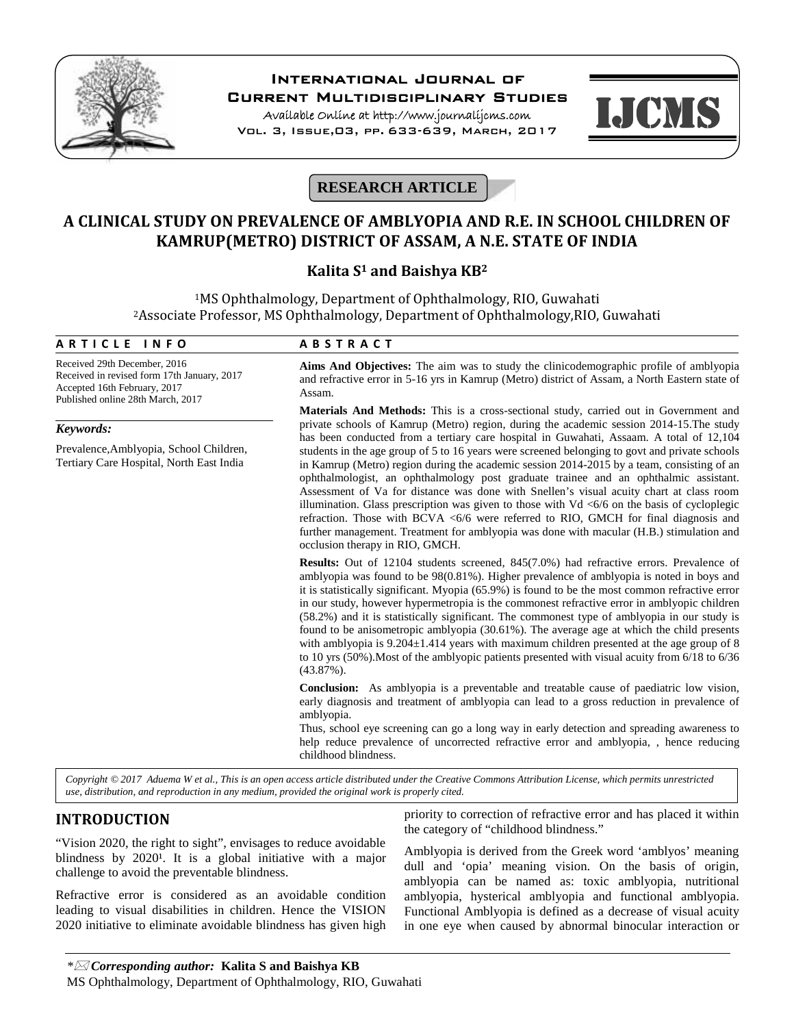

# **International Journal of**

**Current Multidisciplinary Studies**

**Available Online at http://www.journalijcms.com** Vol. 3, Issue,03, pp. 633-639, March, 2017



# **RESEARCH ARTICLE**

# **A CLINICAL STUDY ON PREVALENCE OF AMBLYOPIA AND R.E. IN SCHOOL CHILDREN OF KAMRUP(METRO) DISTRICT OF ASSAM, A N.E. STATE OF INDIA**

# **Kalita S<sup>1</sup> and Baishya KB<sup>2</sup>**

<sup>1</sup>MS Ophthalmology, Department of Ophthalmology, RIO, Guwahati <sup>2</sup>Associate Professor, MS Ophthalmology, Department of Ophthalmology,RIO, Guwahati **A R T I C L E I N F O**<br>Received 29th December, 2016<br>Received 29th December, 2016

Received 29th December, 2016 Received in revised form 17th January, 2017 Accepted 16th February, 2017 Published online 28th March, 2017

# *Keywords:*

Prevalence,Amblyopia, School Children, Tertiary Care Hospital, North East India

**Aims And Objectives:** The aim was to study the clinicodemographic profile of amblyopia and refractive error in 5-16 yrs in Kamrup (Metro) district of Assam, a North Eastern state of Assam.

**Materials And Methods:** This is a cross-sectional study, carried out in Government and private schools of Kamrup (Metro) region, during the academic session 2014-15.The study has been conducted from a tertiary care hospital in Guwahati, Assaam. A total of 12,104 students in the age group of 5 to 16 years were screened belonging to govt and private schools in Kamrup (Metro) region during the academic session 2014-2015 by a team, consisting of an ophthalmologist, an ophthalmology post graduate trainee and an ophthalmic assistant. Assessment of Va for distance was done with Snellen's visual acuity chart at class room illumination. Glass prescription was given to those with Vd <6/6 on the basis of cycloplegic refraction. Those with BCVA <6/6 were referred to RIO, GMCH for final diagnosis and further management. Treatment for amblyopia was done with macular (H.B.) stimulation and occlusion therapy in RIO, GMCH.

**Results:** Out of 12104 students screened, 845(7.0%) had refractive errors. Prevalence of amblyopia was found to be 98(0.81%). Higher prevalence of amblyopia is noted in boys and it is statistically significant. Myopia (65.9%) is found to be the most common refractive error in our study, however hypermetropia is the commonest refractive error in amblyopic children (58.2%) and it is statistically significant. The commonest type of amblyopia in our study is found to be anisometropic amblyopia (30.61%). The average age at which the child presents with amblyopia is  $9.204 \pm 1.414$  years with maximum children presented at the age group of 8 to 10 yrs (50%).Most of the amblyopic patients presented with visual acuity from 6/18 to 6/36 (43.87%).

**Conclusion:** As amblyopia is a preventable and treatable cause of paediatric low vision, early diagnosis and treatment of amblyopia can lead to a gross reduction in prevalence of amblyopia.

Thus, school eye screening can go a long way in early detection and spreading awareness to help reduce prevalence of uncorrected refractive error and amblyopia, , hence reducing childhood blindness.

*Copyright © 2017 Aduema W et al., This is an open access article distributed under the Creative Commons Attribution License, which permits unrestricted use, distribution, and reproduction in any medium, provided the original work is properly cited.*

# **INTRODUCTION**

"Vision 2020, the right to sight", envisages to reduce avoidable blindness by  $2020<sup>1</sup>$ . It is a global initiative with a major challenge to avoid the preventable blindness.

Refractive error is considered as an avoidable condition leading to visual disabilities in children. Hence the VISION 2020 initiative to eliminate avoidable blindness has given high priority to correction of refractive error and has placed it within the category of "childhood blindness."

Amblyopia is derived from the Greek word 'amblyos' meaning dull and 'opia' meaning vision. On the basis of origin, amblyopia can be named as: toxic amblyopia, nutritional amblyopia, hysterical amblyopia and functional amblyopia. Functional Amblyopia is defined as a decrease of visual acuity in one eye when caused by abnormal binocular interaction or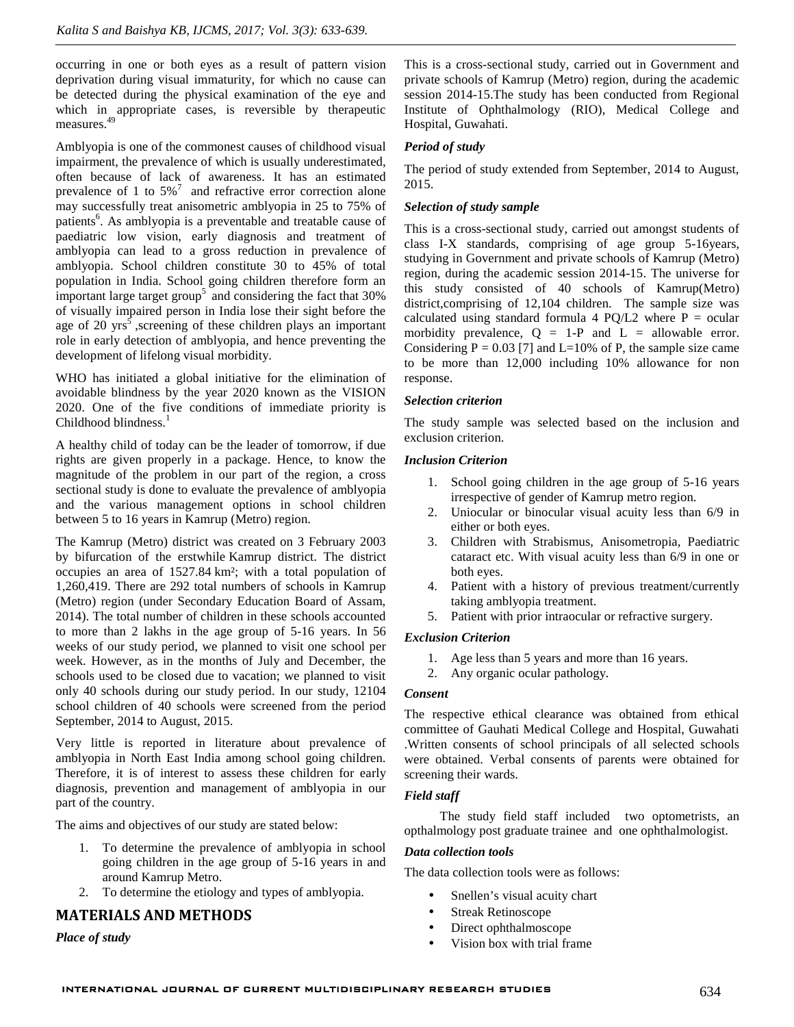occurring in one or both eyes as a result of pattern vision deprivation during visual immaturity, for which no cause can be detected during the physical examination of the eye and which in appropriate cases, is reversible by therapeutic measures.<sup>49</sup>

Amblyopia is one of the commonest causes of childhood visual impairment, the prevalence of which is usually underestimated, often because of lack of awareness. It has an estimated prevalence of 1 to  $5\%$ <sup>7</sup> and refractive error correction alone may successfully treat anisometric amblyopia in 25 to 75% of patients<sup>6</sup>. As amblyopia is a preventable and treatable cause of  $\tau_{\text{th}}$ paediatric low vision, early diagnosis and treatment of amblyopia can lead to a gross reduction in prevalence of amblyopia. School children constitute 30 to 45% of total population in India. School going children therefore form an important large target group<sup>5</sup> and considering the fact that  $30\%$ of visually impaired person in India lose their sight before the age of 20  $yrs^5$ , screening of these children plays an important  $\frac{c_6}{m}$ role in early detection of amblyopia, and hence preventing the development of lifelong visual morbidity.

WHO has initiated a global initiative for the elimination of avoidable blindness by the year 2020 known as the VISION 2020. One of the five conditions of immediate priority is Childhood blindness.<sup>1</sup>

A healthy child of today can be the leader of tomorrow, if due rights are given properly in a package. Hence, to know the magnitude of the problem in our part of the region, a cross sectional study is done to evaluate the prevalence of amblyopia and the various management options in school children between 5 to 16 years in Kamrup (Metro) region.

The Kamrup (Metro) district was created on 3 February 2003 by bifurcation of the erstwhile Kamrup district. The district occupies an area of 1527.84 km²; with a total population of 1,260,419. There are 292 total numbers of schools in Kamrup (Metro) region (under Secondary Education Board of Assam, 2014). The total number of children in these schools accounted to more than 2 lakhs in the age group of 5-16 years. In 56 weeks of our study period, we planned to visit one school per week. However, as in the months of July and December, the schools used to be closed due to vacation; we planned to visit only 40 schools during our study period. In our study, 12104 school children of 40 schools were screened from the period September, 2014 to August, 2015.

Very little is reported in literature about prevalence of amblyopia in North East India among school going children. Therefore, it is of interest to assess these children for early diagnosis, prevention and management of amblyopia in our part of the country.

The aims and objectives of our study are stated below:

- 1. To determine the prevalence of amblyopia in school going children in the age group of 5-16 years in and around Kamrup Metro.
- 2. To determine the etiology and types of amblyopia.

# **MATERIALS AND METHODS**

*Place of study*

This is a cross-sectional study, carried out in Government and private schools of Kamrup (Metro) region, during the academic session 2014-15.The study has been conducted from Regional Institute of Ophthalmology (RIO), Medical College and Hospital, Guwahati.

# *Period of study*

The period of study extended from September, 2014 to August, 2015.

## *Selection of study sample*

This is a cross-sectional study, carried out amongst students of class I-X standards, comprising of age group 5-16years, studying in Government and private schools of Kamrup (Metro) region, during the academic session 2014-15. The universe for this study consisted of 40 schools of Kamrup(Metro) district,comprising of 12,104 children. The sample size was calculated using standard formula 4 PQ/L2 where  $P = \text{ocular}$ morbidity prevalence,  $Q = 1-P$  and  $L =$  allowable error. Considering  $P = 0.03$  [7] and L=10% of P, the sample size came to be more than 12,000 including 10% allowance for non response.

## *Selection criterion*

The study sample was selected based on the inclusion and exclusion criterion.

## *Inclusion Criterion*

- 1. School going children in the age group of 5-16 years irrespective of gender of Kamrup metro region.
- 2. Uniocular or binocular visual acuity less than 6/9 in either or both eyes.
- 3. Children with Strabismus, Anisometropia, Paediatric cataract etc. With visual acuity less than 6/9 in one or both eyes.
- 4. Patient with a history of previous treatment/currently taking amblyopia treatment.
- 5. Patient with prior intraocular or refractive surgery.

# *Exclusion Criterion*

- 1. Age less than 5 years and more than 16 years.
- 2. Any organic ocular pathology.

## *Consent*

The respective ethical clearance was obtained from ethical committee of Gauhati Medical College and Hospital, Guwahati .Written consents of school principals of all selected schools were obtained. Verbal consents of parents were obtained for screening their wards.

## *Field staff*

The study field staff included two optometrists, an opthalmology post graduate trainee and one ophthalmologist.

## *Data collection tools*

The data collection tools were as follows:

- Snellen's visual acuity chart
- Streak Retinoscope
- Direct ophthalmoscope
- Vision box with trial frame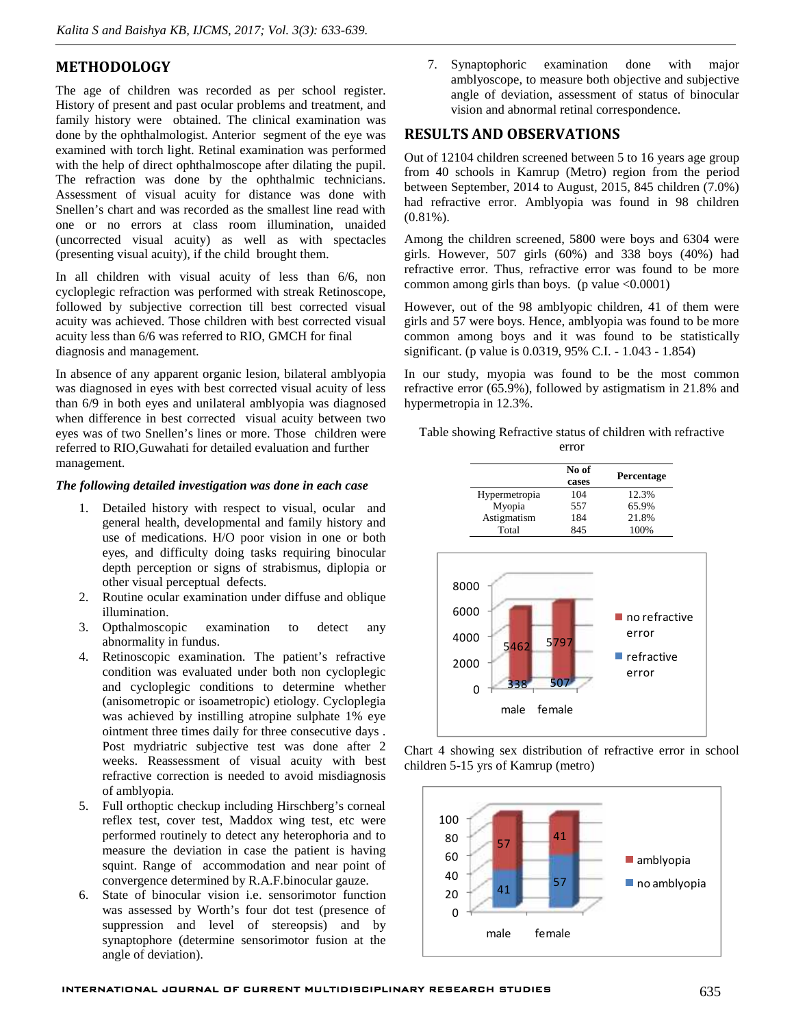# **METHODOLOGY**

The age of children was recorded as per school register. History of present and past ocular problems and treatment, and family history were obtained. The clinical examination was done by the ophthalmologist. Anterior segment of the eye was examined with torch light. Retinal examination was performed with the help of direct ophthalmoscope after dilating the pupil. The refraction was done by the ophthalmic technicians. Assessment of visual acuity for distance was done with Snellen's chart and was recorded as the smallest line read with one or no errors at class room illumination, unaided (uncorrected visual acuity) as well as with spectacles (presenting visual acuity), if the child brought them.

In all children with visual acuity of less than 6/6, non cycloplegic refraction was performed with streak Retinoscope, followed by subjective correction till best corrected visual acuity was achieved. Those children with best corrected visual acuity less than 6/6 was referred to RIO, GMCH for final diagnosis and management.

In absence of any apparent organic lesion, bilateral amblyopia was diagnosed in eyes with best corrected visual acuity of less than 6/9 in both eyes and unilateral amblyopia was diagnosed when difference in best corrected visual acuity between two eyes was of two Snellen's lines or more. Those children were referred to RIO,Guwahati for detailed evaluation and further management.

#### *The following detailed investigation was done in each case*

- 1. Detailed history with respect to visual, ocular and general health, developmental and family history and use of medications. H/O poor vision in one or both eyes, and difficulty doing tasks requiring binocular depth perception or signs of strabismus, diplopia or other visual perceptual defects.
- 2. Routine ocular examination under diffuse and oblique illumination.
- 3. Opthalmoscopic examination to detect any abnormality in fundus.
- 4. Retinoscopic examination. The patient's refractive condition was evaluated under both non cycloplegic and cycloplegic conditions to determine whether (anisometropic or isoametropic) etiology. Cycloplegia was achieved by instilling atropine sulphate 1% eye ointment three times daily for three consecutive days . Post mydriatric subjective test was done after 2 weeks. Reassessment of visual acuity with best refractive correction is needed to avoid misdiagnosis of amblyopia.
- 5. Full orthoptic checkup including Hirschberg's corneal reflex test, cover test, Maddox wing test, etc were performed routinely to detect any heterophoria and to measure the deviation in case the patient is having squint. Range of accommodation and near point of convergence determined by R.A.F.binocular gauze.
- 6. State of binocular vision i.e. sensorimotor function was assessed by Worth's four dot test (presence of suppression and level of stereopsis) and by synaptophore (determine sensorimotor fusion at the angle of deviation).

7. Synaptophoric examination done with major amblyoscope, to measure both objective and subjective angle of deviation, assessment of status of binocular vision and abnormal retinal correspondence.

# **RESULTS AND OBSERVATIONS**

Out of 12104 children screened between 5 to 16 years age group from 40 schools in Kamrup (Metro) region from the period between September, 2014 to August, 2015, 845 children (7.0%) had refractive error. Amblyopia was found in 98 children (0.81%).

Among the children screened, 5800 were boys and 6304 were girls. However, 507 girls (60%) and 338 boys (40%) had refractive error. Thus, refractive error was found to be more common among girls than boys. (p value  $\leq 0.0001$ )

However, out of the 98 amblyopic children, 41 of them were girls and 57 were boys. Hence, amblyopia was found to be more common among boys and it was found to be statistically significant. (p value is 0.0319, 95% C.I. - 1.043 - 1.854)

In our study, myopia was found to be the most common refractive error (65.9%), followed by astigmatism in 21.8% and hypermetropia in 12.3%.

Table showing Refractive status of children with refractive

error

|               | No of<br>cases | <b>Percentage</b> |
|---------------|----------------|-------------------|
| Hypermetropia | 104            | 12.3%             |
| Myopia        | 557            | 65.9%             |
| Astigmatism   | 184            | 21.8%             |
| Total         | 845            | 100%              |



Chart 4 showing sex distribution of refractive error in school children 5-15 yrs of Kamrup (metro)

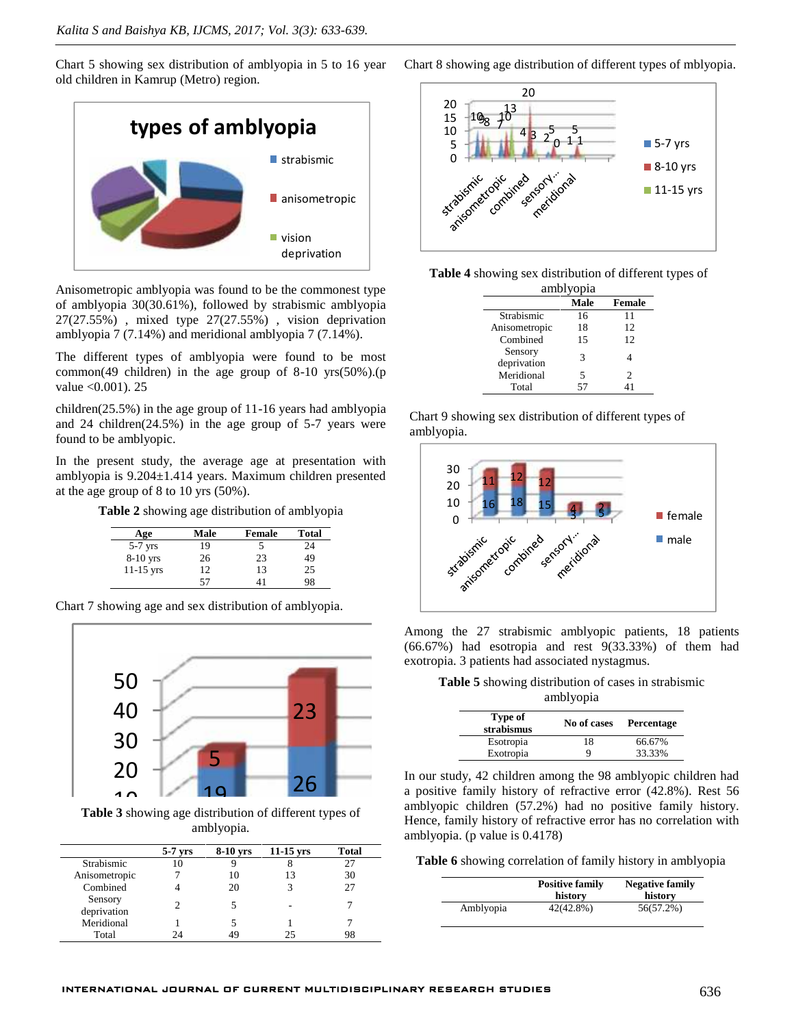Chart 5 showing sex distribution of amblyopia in 5 to 16 year old children in Kamrup (Metro) region.



Anisometropic amblyopia was found to be the commonest type of amblyopia 30(30.61%), followed by strabismic amblyopia 27(27.55%) , mixed type 27(27.55%) , vision deprivation amblyopia 7 (7.14%) and meridional amblyopia 7 (7.14%).

The different types of amblyopia were found to be most common(49 children) in the age group of  $8-10$  yrs $(50\%)$ .(p value <0.001). 25

children(25.5%) in the age group of 11-16 years had amblyopia and 24 children(24.5%) in the age group of 5-7 years were found to be amblyopic.

In the present study, the average age at presentation with amblyopia is 9.204±1.414 years. Maximum children presented at the age group of 8 to 10 yrs (50%).

**Table 2** showing age distribution of amblyopia

| Age         | Male | Female | <b>Total</b> |
|-------------|------|--------|--------------|
| $5-7$ yrs   | 19   |        | 24           |
| $8-10$ yrs  | 26   | 23     | 49           |
| $11-15$ yrs | 12   | 13     | 25           |
|             | 57   |        | 98           |

Chart 7 showing age and sex distribution of amblyopia.



0 amblyopia.

|                        |           |          |                          |              | $\mu$ and $\mu$ , $\mu$ and $\mu$ of $\mu$ , $\mu$                |
|------------------------|-----------|----------|--------------------------|--------------|-------------------------------------------------------------------|
|                        | $5-7$ yrs | 8-10 vrs | $11-15$ vrs              | <b>Total</b> |                                                                   |
| Strabismic             | 10        |          |                          | 27           | <b>Table 6</b> showing correlation of family history in amblyopia |
| Anisometropic          |           | 10       | 13                       | 30           |                                                                   |
| Combined               |           | 20       |                          | 27           | <b>Positive family</b><br><b>Negative family</b>                  |
| Sensory<br>deprivation |           |          | $\overline{\phantom{a}}$ |              | history<br>history<br>$42(42.8\%)$<br>Amblyopia<br>56(57.2%)      |
| Meridional             |           |          |                          |              |                                                                   |
| Total                  | 24        | 49       | 25                       | 98           |                                                                   |

Chart 8 showing age distribution of different types of mblyopia.



|           | Table 4 showing sex distribution of different types of |  |
|-----------|--------------------------------------------------------|--|
| amblyopia |                                                        |  |

|                        | Male | <b>Female</b> |
|------------------------|------|---------------|
| Strabismic             | 16   | 11            |
| Anisometropic          | 18   | 12            |
| Combined               | 15   | 12            |
| Sensory<br>deprivation | 3    |               |
| Meridional             | 5    | 2             |
| Total                  | 57   |               |

Chart 9 showing sex distribution of different types of amblyopia.



Among the 27 strabismic amblyopic patients, 18 patients (66.67%) had esotropia and rest 9(33.33%) of them had exotropia. 3 patients had associated nystagmus.

**Table 5** showing distribution of cases in strabismic amblyopia

| Type of<br>strabismus |    | No of cases Percentage |
|-----------------------|----|------------------------|
| Esotropia             | 18 | 66.67%                 |
| Exotropia             | Q  | 33.33%                 |

Exotropia 9 33.33%<br>In our study, 42 children among the 98 amblyopic children had a positive family history of refractive error (42.8%). Rest 56 **a** positive talling instead on children (57.2%) had no positive family history. Table 3 showing age distribution of different types of males for milly history. Hence, family history of refractive error has no correlation with amblyopia. (p value is 0.4178)

|           | <b>Positive family</b><br>history | <b>Negative family</b><br>history |
|-----------|-----------------------------------|-----------------------------------|
| Amblyopia | $42(42.8\%)$                      | 56(57.2%)                         |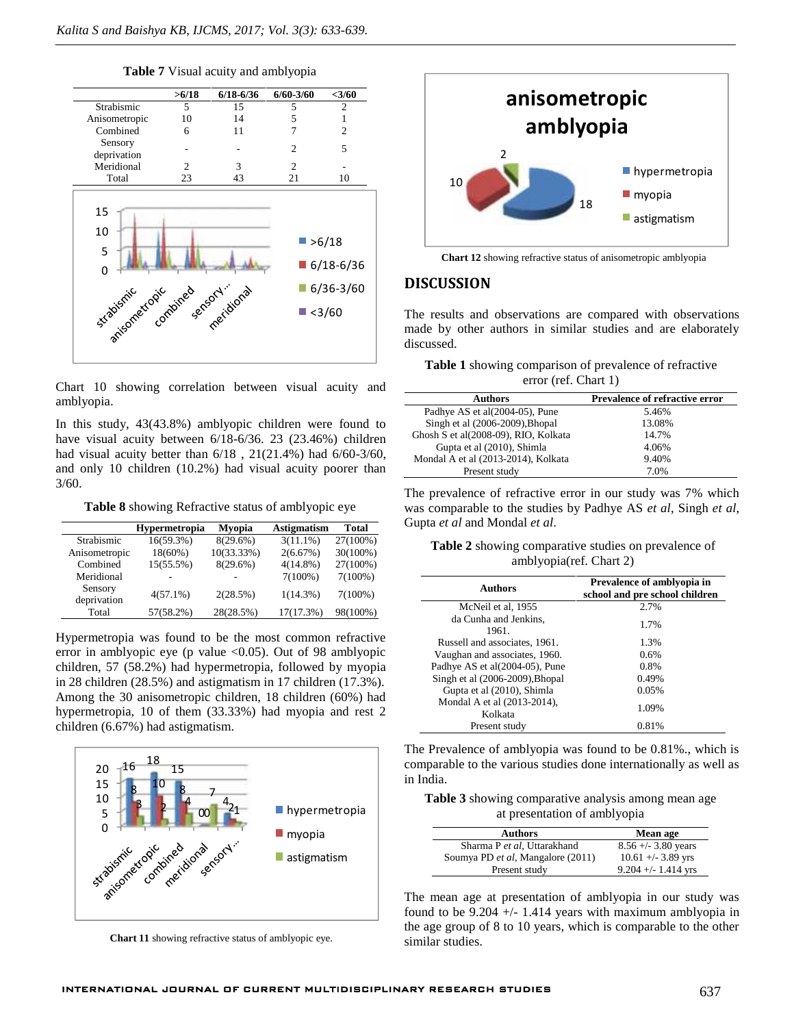**Table 7** Visual acuity and amblyopia



Chart 10 showing correlation between visual acuity and amblyopia.

In this study, 43(43.8%) amblyopic children were found to have visual acuity between 6/18-6/36. 23 (23.46%) children had visual acuity better than 6/18 , 21(21.4%) had 6/60-3/60, and only 10 children (10.2%) had visual acuity poorer than 3/60.

**Table 8** showing Refractive status of amblyopic eye

|                        | <b>Hypermetropia</b> | <b>Myopia</b> | <b>Astigmatism</b> | <b>Total</b> |
|------------------------|----------------------|---------------|--------------------|--------------|
| Strabismic             | $16(59.3\%)$         | $8(29.6\%)$   | $3(11.1\%)$        | 27(100%)     |
| Anisometropic          | $18(60\%)$           | 10(33.33%)    | 2(6.67%)           | 30(100%)     |
| Combined               | 15(55.5%)            | 8(29.6%)      | $4(14.8\%)$        | 27(100%)     |
| Meridional             |                      |               | $7(100\%)$         | $7(100\%)$   |
| Sensory<br>deprivation | $4(57.1\%)$          | 2(28.5%)      | $1(14.3\%)$        | $7(100\%)$   |
| Total                  | $57(58.2\%)$         | 28(28.5%)     | 17(17.3%)          | 98(100%)     |

Hypermetropia was found to be the most common refractive error in amblyopic eye (p value <0.05). Out of 98 amblyopic children, 57 (58.2%) had hypermetropia, followed by myopia in 28 children (28.5%) and astigmatism in 17 children (17.3%). Among the 30 anisometropic children, 18 children (60%) had hypermetropia, 10 of them (33.33%) had myopia and rest 2 children (6.67%) had astigmatism.



**Chart 11** showing refractive status of amblyopic eye.



**Chart 12** showing refractive status of anisometropic amblyopia

## **DISCUSSION**

The results and observations are compared with observations made by other authors in similar studies and are elaborately discussed.

|  | <b>Table 1</b> showing comparison of prevalence of refractive |  |  |
|--|---------------------------------------------------------------|--|--|
|  | error (ref. Chart $1$ )                                       |  |  |

| <b>Authors</b>                       | <b>Prevalence of refractive error</b> |
|--------------------------------------|---------------------------------------|
| Padhye AS et al(2004-05), Pune       | 5.46%                                 |
| Singh et al (2006-2009), Bhopal      | 13.08%                                |
| Ghosh S et al(2008-09), RIO, Kolkata | 14.7%                                 |
| Gupta et al (2010), Shimla           | 4.06%                                 |
| Mondal A et al (2013-2014), Kolkata  | 9.40%                                 |
| Present study                        | 7.0%                                  |

The prevalence of refractive error in our study was 7% which was comparable to the studies by Padhye AS *et al*, Singh *et al*, Gupta *et al* and Mondal *et al*.

**Table 2** showing comparative studies on prevalence of amblyopia(ref. Chart 2)

| Authors                                | Prevalence of amblyopia in<br>school and pre school children |
|----------------------------------------|--------------------------------------------------------------|
| McNeil et al, 1955                     | 2.7%                                                         |
| da Cunha and Jenkins,<br>1961.         | 1.7%                                                         |
| Russell and associates, 1961.          | 1.3%                                                         |
| Vaughan and associates, 1960.          | 0.6%                                                         |
| Padhye AS et al(2004-05), Pune         | 0.8%                                                         |
| Singh et al (2006-2009), Bhopal        | 0.49%                                                        |
| Gupta et al (2010), Shimla             | 0.05%                                                        |
| Mondal A et al (2013-2014),<br>Kolkata | 1.09%                                                        |
| Present study                          | 0.81%                                                        |

The Prevalence of amblyopia was found to be 0.81%., which is comparable to the various studies done internationally as well as in India.

**Table 3** showing comparative analysis among mean age at presentation of amblyopia

| <b>Authors</b>                    | Mean age              |
|-----------------------------------|-----------------------|
| Sharma P et al, Uttarakhand       | $8.56 +/- 3.80$ years |
| Soumya PD et al, Mangalore (2011) | $10.61 + -3.89$ yrs   |
| Present study                     | $9.204 + - 1.414$ yrs |

The mean age at presentation of amblyopia in our study was found to be 9.204 +/- 1.414 years with maximum amblyopia in the age group of 8 to 10 years, which is comparable to the other similar studies.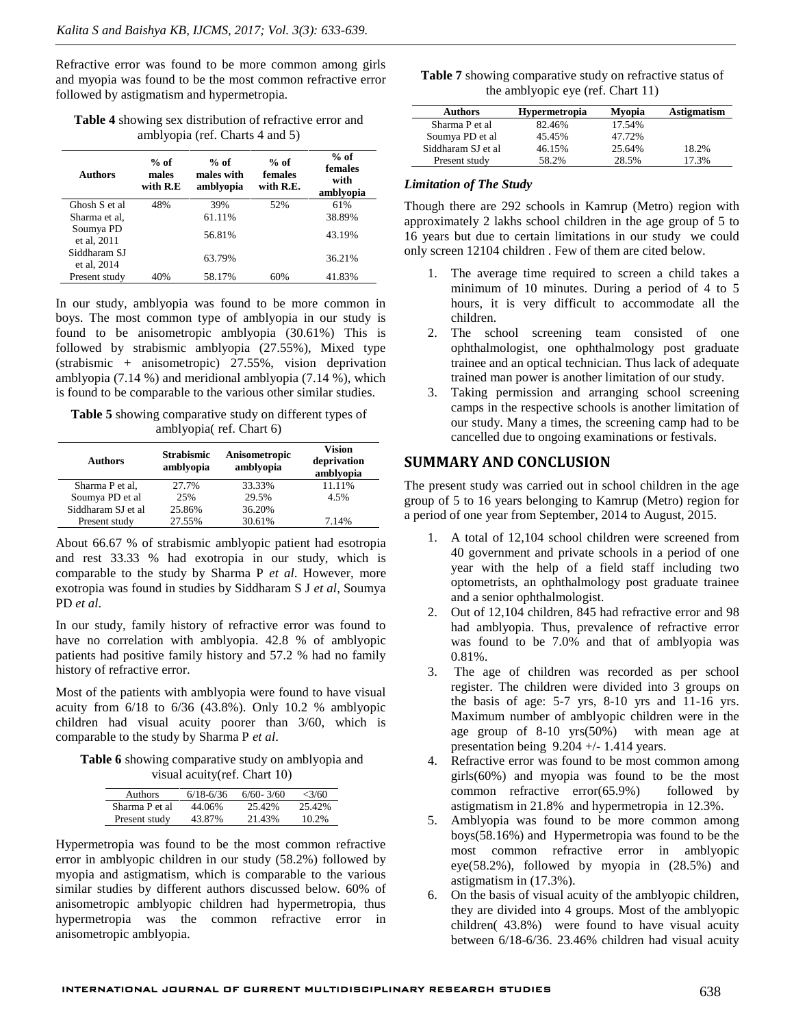Refractive error was found to be more common among girls and myopia was found to be the most common refractive error followed by astigmatism and hypermetropia.

**Table 4** showing sex distribution of refractive error and amblyopia (ref. Charts 4 and 5)

| <b>Authors</b>              | $%$ of<br>males<br>with R.E | $%$ of<br>males with<br>amblyopia | $%$ of<br>females<br>with R.E. | $%$ of<br>females<br>with<br>amblyopia |
|-----------------------------|-----------------------------|-----------------------------------|--------------------------------|----------------------------------------|
| Ghosh S et al               | 48%                         | 39%                               | 52%                            | 61%                                    |
| Sharma et al.               |                             | 61.11%                            |                                | 38.89%                                 |
| Soumya PD<br>et al, 2011    |                             | 56.81%                            |                                | 43.19%                                 |
| Siddharam SJ<br>et al. 2014 |                             | 63.79%                            |                                | 36.21%                                 |
| Present study               | 40%                         | 58.17%                            | 60%                            | 41.83%                                 |

In our study, amblyopia was found to be more common in boys. The most common type of amblyopia in our study is found to be anisometropic amblyopia (30.61%) This is followed by strabismic amblyopia (27.55%), Mixed type (strabismic + anisometropic) 27.55%, vision deprivation amblyopia (7.14 %) and meridional amblyopia (7.14 %), which is found to be comparable to the various other similar studies.

**Table 5** showing comparative study on different types of amblyopia( ref. Chart 6)

| <b>Authors</b>     | <b>Strabismic</b><br>amblyopia | Anisometropic<br>amblyopia | <b>Vision</b><br>deprivation<br>amblyopia |  |
|--------------------|--------------------------------|----------------------------|-------------------------------------------|--|
| Sharma P et al.    | 27.7%                          | 33.33%                     | 11.11%                                    |  |
| Soumya PD et al    | 25%                            | 29.5%                      | 4.5%                                      |  |
| Siddharam SJ et al | 25.86%                         | 36.20%                     |                                           |  |
| Present study      | 27.55%                         | 30.61%                     | 7.14%                                     |  |

About 66.67 % of strabismic amblyopic patient had esotropia and rest 33.33 % had exotropia in our study, which is comparable to the study by Sharma P *et al*. However, more exotropia was found in studies by Siddharam S J *et al*, Soumya PD *et al*.

In our study, family history of refractive error was found to have no correlation with amblyopia. 42.8 % of amblyopic patients had positive family history and 57.2 % had no family history of refractive error.

Most of the patients with amblyopia were found to have visual acuity from 6/18 to 6/36 (43.8%). Only 10.2 % amblyopic children had visual acuity poorer than 3/60, which is comparable to the study by Sharma P *et al*.

**Table 6** showing comparative study on amblyopia and visual acuity(ref. Chart 10)

| Authors        | $6/18 - 6/36$ | $6/60 - 3/60$ | $\langle 3/60 \rangle$ |
|----------------|---------------|---------------|------------------------|
| Sharma P et al | 44.06%        | 25.42%        | 25.42%                 |
| Present study  | 43.87%        | 21.43%        | 10.2%                  |

Hypermetropia was found to be the most common refractive error in amblyopic children in our study (58.2%) followed by myopia and astigmatism, which is comparable to the various similar studies by different authors discussed below. 60% of anisometropic amblyopic children had hypermetropia, thus hypermetropia was the common refractive error in anisometropic amblyopia.

| <b>Table 7</b> showing comparative study on refractive status of |  |
|------------------------------------------------------------------|--|
| the amblyopic eye (ref. Chart 11)                                |  |

| <b>Authors</b>     | <b>Hypermetropia</b> | Mvopia | <b>Astigmatism</b> |
|--------------------|----------------------|--------|--------------------|
| Sharma P et al     | 82.46%               | 17.54% |                    |
| Soumya PD et al    | 45.45%               | 47.72% |                    |
| Siddharam SJ et al | 46.15%               | 25.64% | 18.2%              |
| Present study      | 58.2%                | 28.5%  | 17.3%              |

#### *Limitation of The Study*

Though there are 292 schools in Kamrup (Metro) region with approximately 2 lakhs school children in the age group of 5 to 16 years but due to certain limitations in our study we could only screen 12104 children . Few of them are cited below.

- 1. The average time required to screen a child takes a minimum of 10 minutes. During a period of 4 to 5 hours, it is very difficult to accommodate all the children.
- 2. The school screening team consisted of one ophthalmologist, one ophthalmology post graduate trainee and an optical technician. Thus lack of adequate trained man power is another limitation of our study.
- 3. Taking permission and arranging school screening camps in the respective schools is another limitation of our study. Many a times, the screening camp had to be cancelled due to ongoing examinations or festivals.

# **SUMMARY AND CONCLUSION**

The present study was carried out in school children in the age group of 5 to 16 years belonging to Kamrup (Metro) region for a period of one year from September, 2014 to August, 2015.

- A total of 12,104 school children were screened from 40 government and private schools in a period of one year with the help of a field staff including two optometrists, an ophthalmology post graduate trainee and a senior ophthalmologist.
- 2. Out of 12,104 children, 845 had refractive error and 98 had amblyopia. Thus, prevalence of refractive error was found to be 7.0% and that of amblyopia was 0.81%.
- 3. The age of children was recorded as per school register. The children were divided into 3 groups on the basis of age: 5-7 yrs, 8-10 yrs and 11-16 yrs. Maximum number of amblyopic children were in the age group of 8-10 yrs(50%) with mean age at presentation being 9.204 +/- 1.414 years.
- 4. Refractive error was found to be most common among girls(60%) and myopia was found to be the most common refractive error(65.9%) followed by astigmatism in 21.8% and hypermetropia in 12.3%.
- 5. Amblyopia was found to be more common among boys(58.16%) and Hypermetropia was found to be the most common refractive error in amblyopic eye(58.2%), followed by myopia in (28.5%) and astigmatism in (17.3%).
- 6. On the basis of visual acuity of the amblyopic children, they are divided into 4 groups. Most of the amblyopic children( 43.8%) were found to have visual acuity between 6/18-6/36. 23.46% children had visual acuity